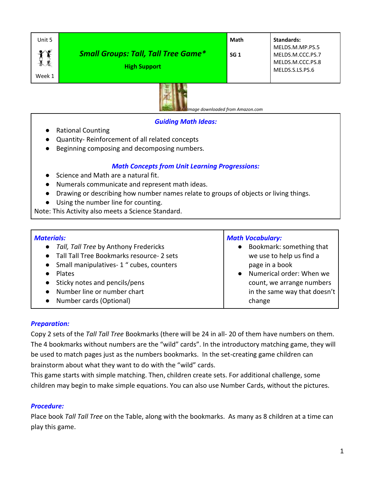| Unit 5    |                                            | Math            | Standards:       |
|-----------|--------------------------------------------|-----------------|------------------|
| $\bullet$ |                                            |                 | MELDS.M.MP.PS.5  |
|           | <b>Small Groups: Tall, Tall Tree Game*</b> | SG <sub>1</sub> | MELDS.M.CCC.PS.7 |
|           |                                            |                 | MELDS.M.CCC.PS.8 |
|           | <b>High Support</b>                        |                 | MELDS.S.LS.PS.6  |
| Week 1    |                                            |                 |                  |



 *Image downloaded from Amazon.com*

### *Guiding Math Ideas:*

- Rational Counting
- Quantity- Reinforcement of all related concepts
- Beginning composing and decomposing numbers.

# *Math Concepts from Unit Learning Progressions:*

- Science and Math are a natural fit.
- Numerals communicate and represent math ideas.
- Drawing or describing how number names relate to groups of objects or living things.
- Using the number line for counting.

Note: This Activity also meets a Science Standard.

#### *Materials:* ● *Tall, Tall Tree* by Anthony Fredericks ● Tall Tall Tree Bookmarks resource- 2 sets ● Small manipulatives- 1 " cubes, counters ● Plates ● Sticky notes and pencils/pens ● Number line or number chart ● Number cards (Optional) *Math Vocabulary:* ● Bookmark: something that we use to help us find a page in a book Numerical order: When we count, we arrange numbers in the same way that doesn't change

## *Preparation:*

Copy 2 sets of the *Tall Tall Tree* Bookmarks (there will be 24 in all- 20 of them have numbers on them. The 4 bookmarks without numbers are the "wild" cards". In the introductory matching game, they will be used to match pages just as the numbers bookmarks. In the set-creating game children can brainstorm about what they want to do with the "wild" cards.

This game starts with simple matching. Then, children create sets. For additional challenge, some children may begin to make simple equations. You can also use Number Cards, without the pictures.

# *Procedure:*

Place book *Tall Tall Tree* on the Table, along with the bookmarks. As many as 8 children at a time can play this game.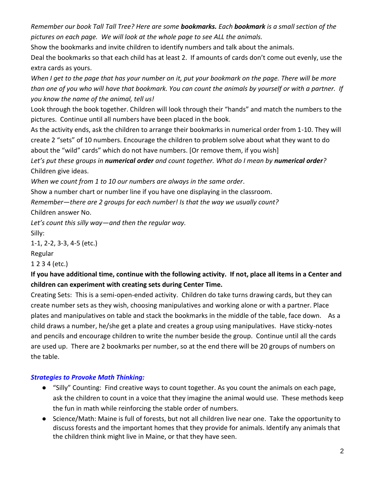*Remember our book Tall Tall Tree? Here are some bookmarks. Each bookmark is a small section of the pictures on each page. We will look at the whole page to see ALL the animals.*

Show the bookmarks and invite children to identify numbers and talk about the animals.

Deal the bookmarks so that each child has at least 2. If amounts of cards don't come out evenly, use the extra cards as yours.

*When I get to the page that has your number on it, put your bookmark on the page. There will be more than one of you who will have that bookmark. You can count the animals by yourself or with a partner. If you know the name of the animal, tell us!* 

Look through the book together. Children will look through their "hands" and match the numbers to the pictures. Continue until all numbers have been placed in the book.

As the activity ends, ask the children to arrange their bookmarks in numerical order from 1-10. They will create 2 "sets" of 10 numbers. Encourage the children to problem solve about what they want to do about the "wild" cards" which do not have numbers. [Or remove them, if you wish]

*Let's put these groups in numerical order and count together. What do I mean by numerical order?*  Children give ideas.

*When we count from 1 to 10 our numbers are always in the same order*.

Show a number chart or number line if you have one displaying in the classroom.

*Remember—there are 2 groups for each number! Is that the way we usually count?* 

Children answer No.

*Let's count this silly way—and then the regular way.*

Silly:

1-1, 2-2, 3-3, 4-5 (etc.)

Regular

1 2 3 4 (etc.)

# **If you have additional time, continue with the following activity. If not, place all items in a Center and children can experiment with creating sets during Center Time.**

Creating Sets: This is a semi-open-ended activity. Children do take turns drawing cards, but they can create number sets as they wish, choosing manipulatives and working alone or with a partner. Place plates and manipulatives on table and stack the bookmarks in the middle of the table, face down. As a child draws a number, he/she get a plate and creates a group using manipulatives. Have sticky-notes and pencils and encourage children to write the number beside the group. Continue until all the cards are used up. There are 2 bookmarks per number, so at the end there will be 20 groups of numbers on the table.

# *Strategies to Provoke Math Thinking:*

- "Silly" Counting: Find creative ways to count together. As you count the animals on each page, ask the children to count in a voice that they imagine the animal would use. These methods keep the fun in math while reinforcing the stable order of numbers.
- Science/Math: Maine is full of forests, but not all children live near one. Take the opportunity to discuss forests and the important homes that they provide for animals. Identify any animals that the children think might live in Maine, or that they have seen.